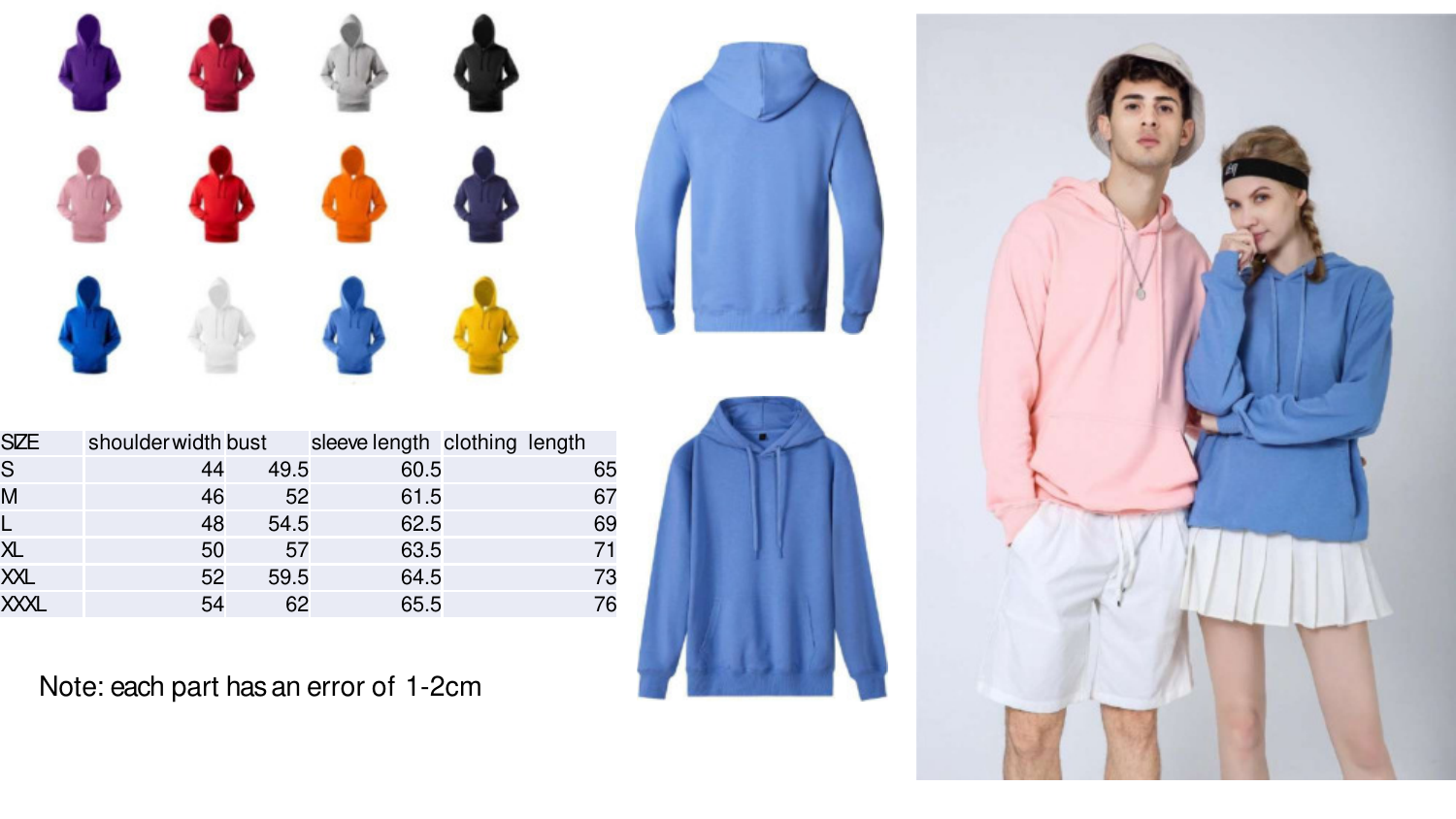



| <b>SIZE</b>  | shoulder width bust |      | sleeve length clothing length |    |
|--------------|---------------------|------|-------------------------------|----|
| $\mathsf{S}$ | 44                  | 49.5 | 60.5                          | 65 |
| M            | 46                  | 52   | 61.5                          | 67 |
| L            | 48                  | 54.5 | 62.5                          | 69 |
| XL           | 50                  | 57   | 63.5                          | 71 |
| XXL          | 52                  | 59.5 | 64.5                          | 73 |
| <b>XXXL</b>  | 54                  | 62   | 65.5                          | 76 |



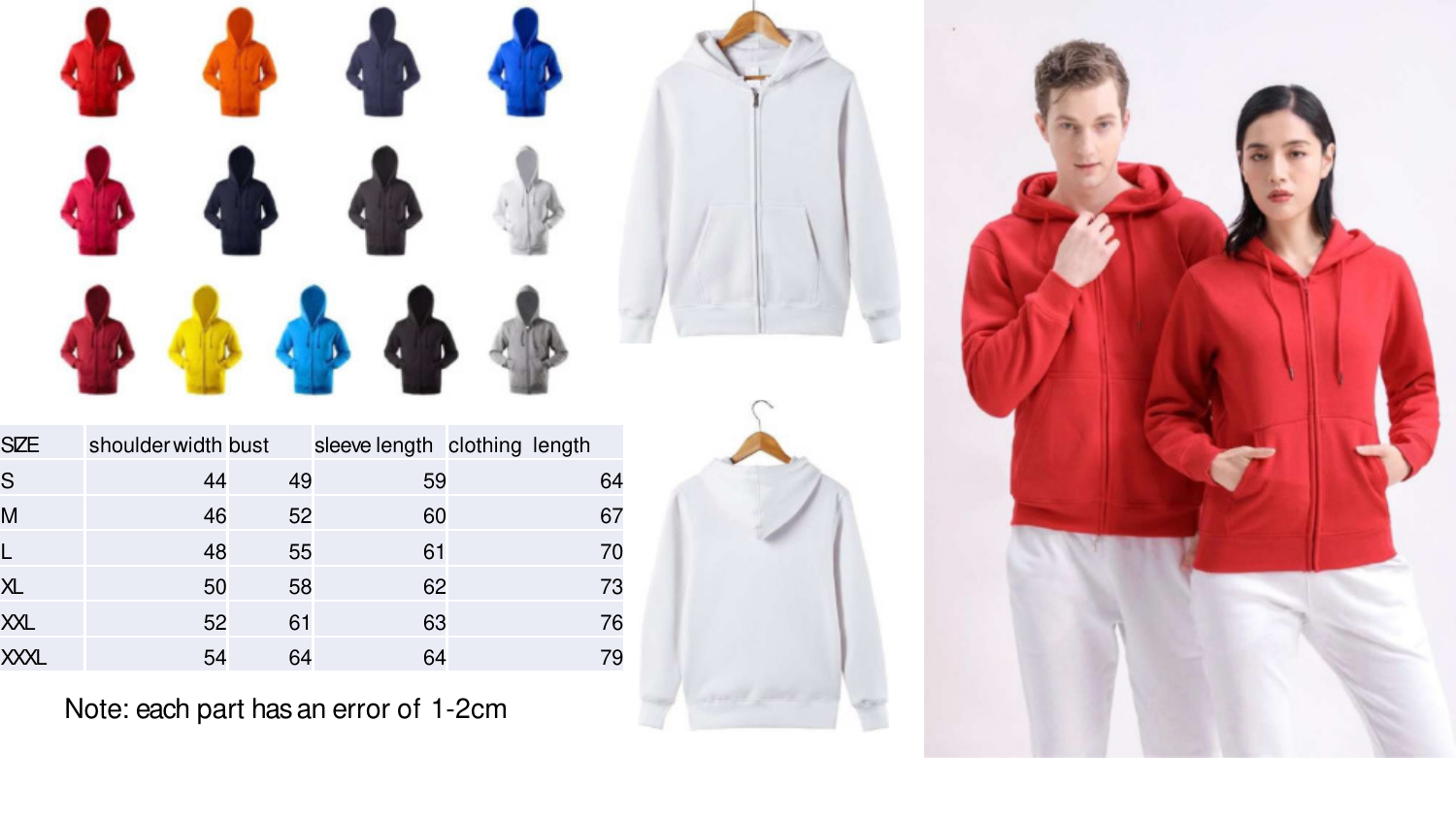





| <b>SIZE</b> | shoulder width bust |    | sleeve length clothing length |  |    |
|-------------|---------------------|----|-------------------------------|--|----|
| S           | 44                  | 49 | 59                            |  | 64 |
| M           | 46                  | 52 | 60                            |  | 67 |
| L           | 48                  | 55 | 61                            |  | 70 |
| <b>XL</b>   | 50                  | 58 | 62                            |  | 73 |
| XXL         | 52                  | 61 | 63                            |  | 76 |
| <b>XXXL</b> | 54                  | 64 | 64                            |  | 79 |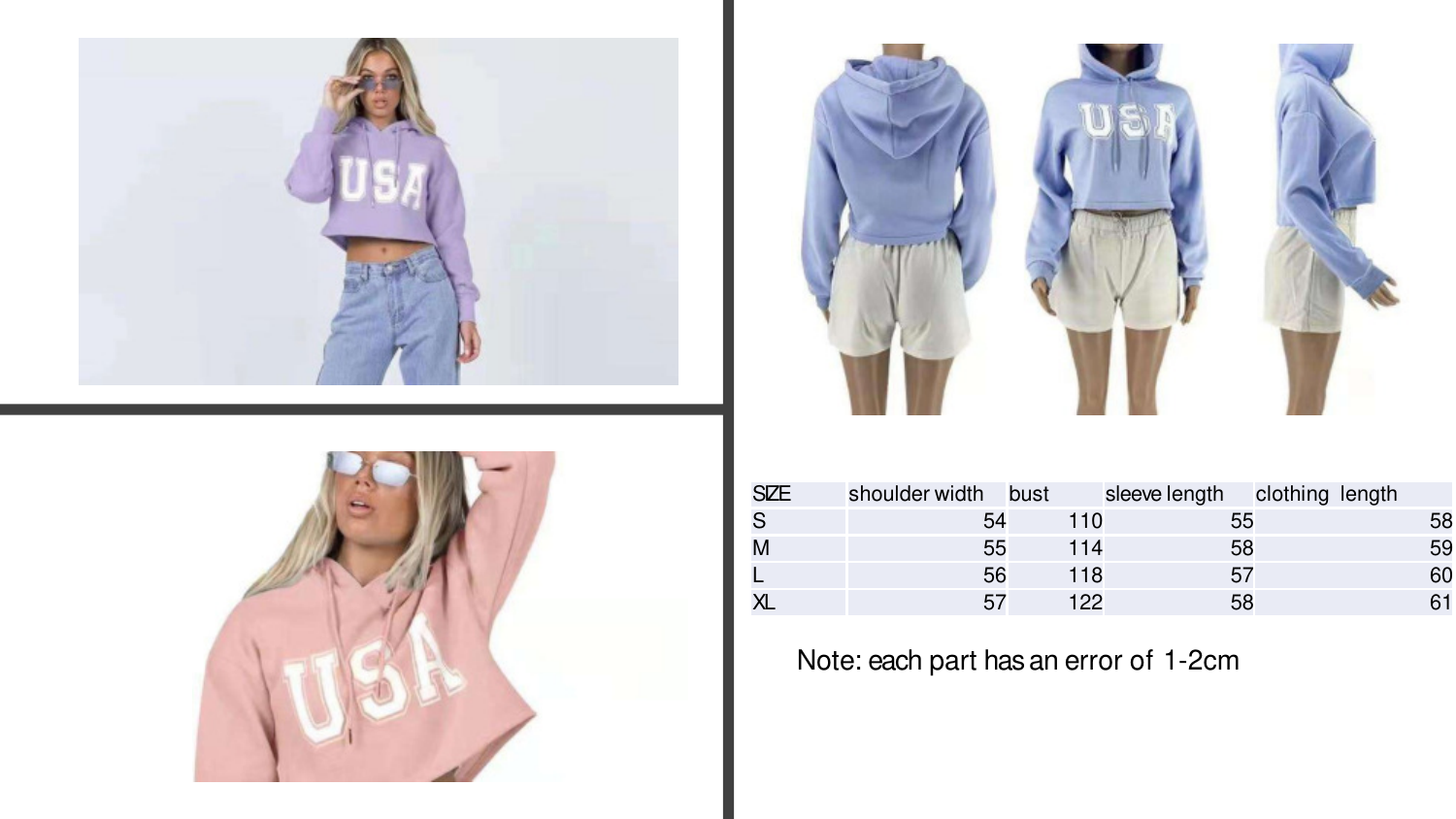





| <b>SZE</b> | shoulder width bust |     | sleeve length clothing length |    |
|------------|---------------------|-----|-------------------------------|----|
| S          | 54                  | 110 | 55                            | 58 |
|            | 55                  | 114 | 58                            | 59 |
|            | 56                  | 118 | 57                            | 60 |
|            | 57                  | 122 | 58                            |    |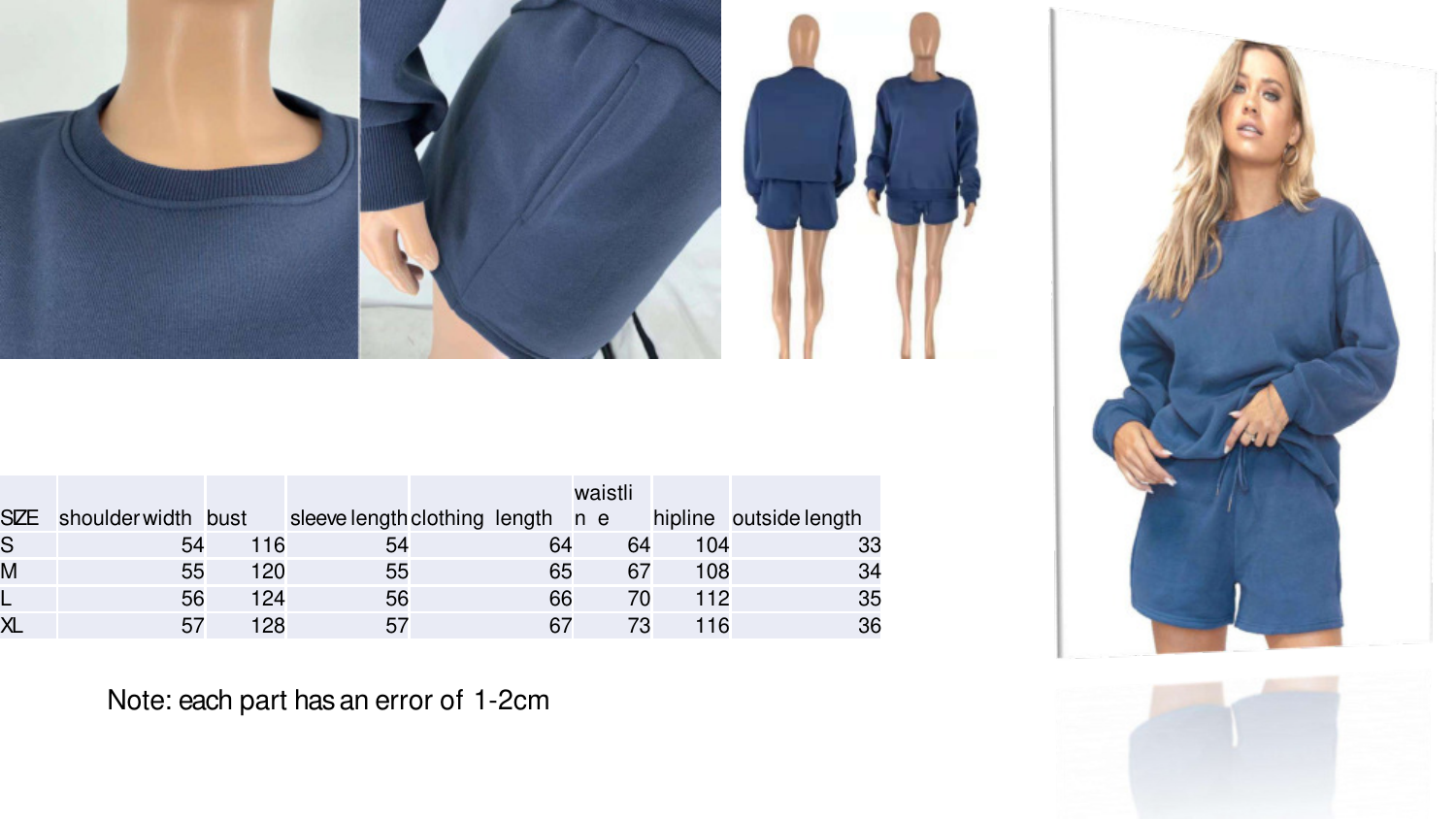

|                         |                        |     |    |    | waistli |     |                                                          |
|-------------------------|------------------------|-----|----|----|---------|-----|----------------------------------------------------------|
|                         | SZE shoulderwidth bust |     |    |    |         |     | sleeve length clothing length n e hipline outside length |
| S                       | 54                     | 116 | 54 | 64 | 64      | 104 | 33                                                       |
| M                       | 55                     | 120 | 55 | 65 | 67      | 108 | 34                                                       |
| ╚                       | 56                     | 124 | 56 | 66 | 70      | 112 | 35                                                       |
| $\overline{\mathsf{X}}$ | 57                     | 128 | 57 |    |         | 116 | 36                                                       |



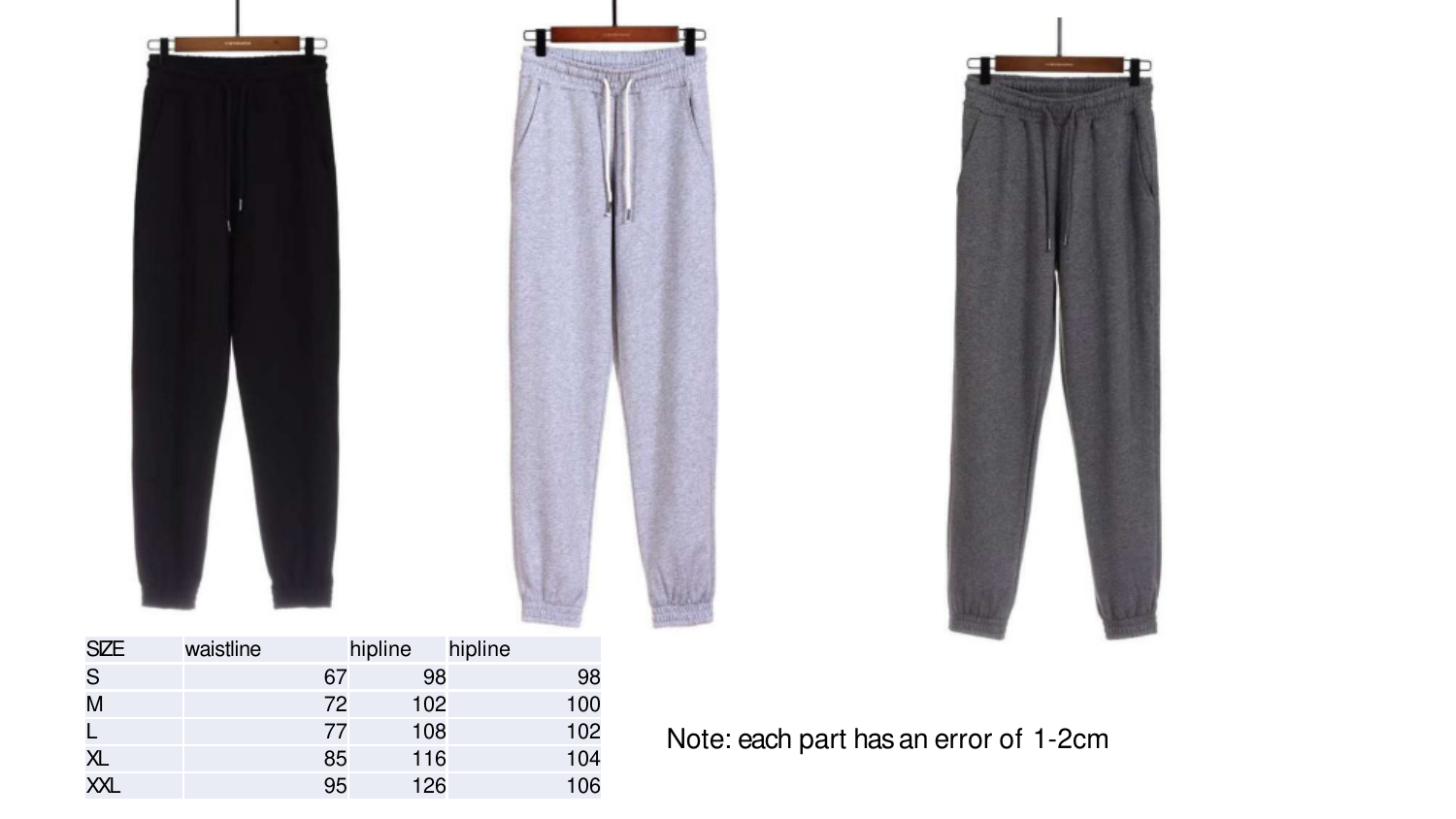| q          | П         |         |         |  |  |  |
|------------|-----------|---------|---------|--|--|--|
| <b>SZE</b> | waistline | hipline | hipline |  |  |  |

| <b>SIZE</b> | waistline | hipline |     | hipline |     |
|-------------|-----------|---------|-----|---------|-----|
| S           |           | 67      | 98  |         | 98  |
| M           |           | 72      | 102 |         | 100 |
|             |           | 77      | 108 |         | 102 |
| XL          |           | 85      | 116 |         | 104 |
| <b>XXL</b>  |           | 95      | 126 |         | 106 |
|             |           |         |     |         |     |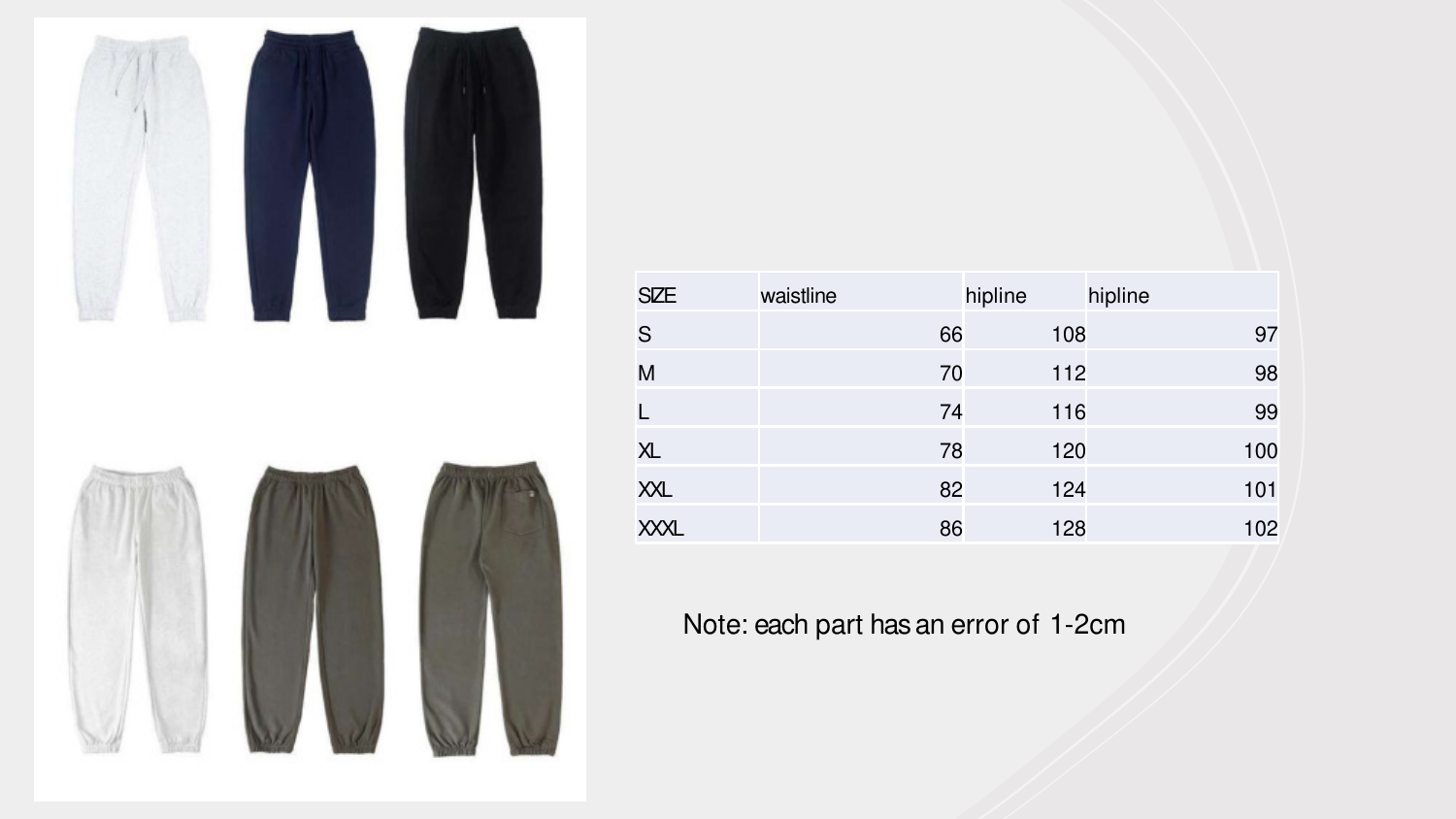

| <b>SIZE</b>    | waistline | hipline | hipline |
|----------------|-----------|---------|---------|
| S              | 66        | 108     | 97      |
| M              | 70        | 112     | 98      |
| L              | 74        | 116     | 99      |
| X <sub>L</sub> | 78        | 120     | 100     |
| XXL            | 82        | 124     | 101     |
| <b>XXXL</b>    | 86        | 128     | 102     |